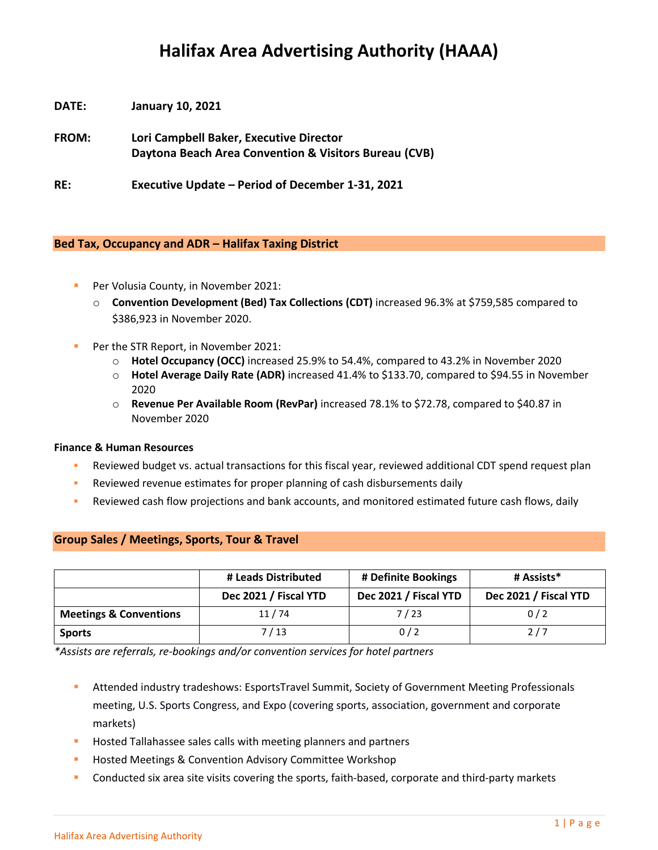# **Halifax Area Advertising Authority (HAAA)**

**DATE: January 10, 2021**

**FROM: Lori Campbell Baker, Executive Director Daytona Beach Area Convention & Visitors Bureau (CVB)**

**RE: Executive Update – Period of December 1-31, 2021**

# **Bed Tax, Occupancy and ADR – Halifax Taxing District**

- Per Volusia County, in November 2021:
	- o **Convention Development (Bed) Tax Collections (CDT)** increased 96.3% at \$759,585 compared to \$386,923 in November 2020.
- Per the STR Report, in November 2021:
	- o **Hotel Occupancy (OCC)** increased 25.9% to 54.4%, compared to 43.2% in November 2020
	- o **Hotel Average Daily Rate (ADR)** increased 41.4% to \$133.70, compared to \$94.55 in November 2020
	- o **Revenue Per Available Room (RevPar)** increased 78.1% to \$72.78, compared to \$40.87 in November 2020

#### **Finance & Human Resources**

- **EXEDENT ADDET VIOLET SHEARE FISC** PERSONAL TREVIEW REVIEW A Reviewed additional CDT spend request plan
- **EXECTED FIGHTS FOR THE PROPERT FIGHTS FOR FIGHTS FIGHTS FIGHTS FIGHTS FIGHTS AND FIGHTS FIGHTS FIGHTS FIGHTS FIGHTS FIGHTS FIGHTS FIGHTS FIGHTS FIGHTS FIGHTS FIGHTS FIGHTS FIGHTS FIGHTS FIGHTS FIGHTS FIGHTS FIGHTS FIGHTS**
- Reviewed cash flow projections and bank accounts, and monitored estimated future cash flows, daily

|                                   | # Leads Distributed   | # Definite Bookings   | # Assists*            |
|-----------------------------------|-----------------------|-----------------------|-----------------------|
|                                   | Dec 2021 / Fiscal YTD | Dec 2021 / Fiscal YTD | Dec 2021 / Fiscal YTD |
| <b>Meetings &amp; Conventions</b> | 11/74                 | 7 / 23                | 0/2                   |
| <b>Sports</b>                     | 7 / 13                | 0/2                   | 2/7                   |

# **Group Sales / Meetings, Sports, Tour & Travel**

*\*Assists are referrals, re-bookings and/or convention services for hotel partners*

- **E** Attended industry tradeshows: EsportsTravel Summit, Society of Government Meeting Professionals meeting, U.S. Sports Congress, and Expo (covering sports, association, government and corporate markets)
- Hosted Tallahassee sales calls with meeting planners and partners
- **Hosted Meetings & Convention Advisory Committee Workshop**
- **•** Conducted six area site visits covering the sports, faith-based, corporate and third-party markets